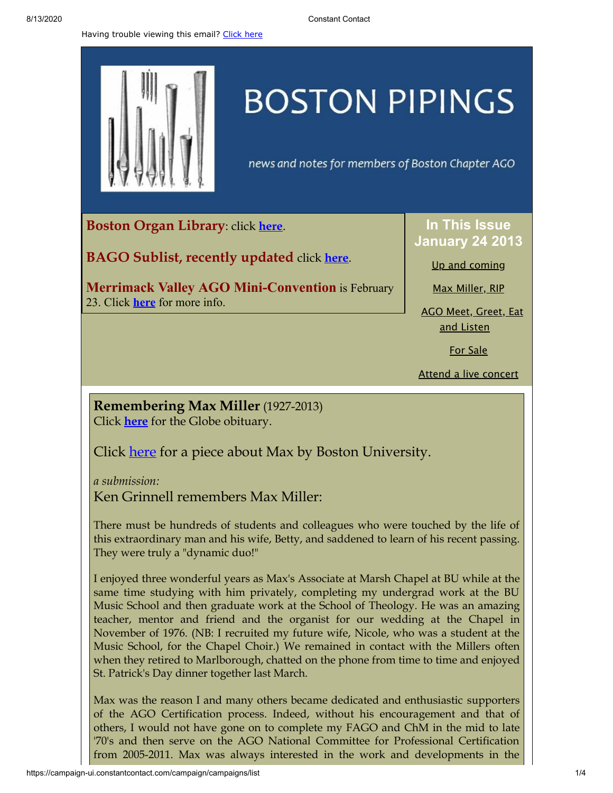Having trouble viewing this email? [Click](http://campaign.r20.constantcontact.com/render?preview=true&m=1105786651064&ca=48a23379-b2be-433a-99e0-042646506fb2&id=preview) here



## **BOSTON PIPINGS**

news and notes for members of Boston Chapter AGO

<span id="page-0-0"></span>**Boston Organ Library**: click **[here](http://www.organlibrary.org/)**.

**BAGO Sublist, recently updated** click **[here](http://www.bostonago.org/chapter/substitute-list/)**.

**Merrimack Valley AGO Mini-Convention** is February 23. Click **[here](http://library.constantcontact.com/doc208/1105786651064/doc/13dBNk01XuWXbXOZ.pdf)** for more info.

**In This Issue January 24 2013**

Up and [coming](#page-0-0)

Max [Miller,](#page-0-1) RIP

AGO Meet, [Greet,](#page-1-0) Eat and Listen

For [Sale](#page-2-0)

Attend a live [concert](#page-2-1)

<span id="page-0-1"></span>**Remembering Max Miller** (1927-2013) Click **[here](http://www.legacy.com/obituaries/bostonglobe/obituary.aspx?pid=162231330#fbLoggedOut)** for the Globe obituary.

Click <u>[here](http://www.bu.edu/sth/2013/01/18/in-commemoration-of-max-miller/)</u> for a piece about Max by Boston University.

*a submission:*

Ken Grinnell remembers Max Miller:

There must be hundreds of students and colleagues who were touched by the life of this extraordinary man and his wife, Betty, and saddened to learn of his recent passing. They were truly a "dynamic duo!"

I enjoyed three wonderful years as Max's Associate at Marsh Chapel at BU while at the same time studying with him privately, completing my undergrad work at the BU Music School and then graduate work at the School of Theology. He was an amazing teacher, mentor and friend and the organist for our wedding at the Chapel in November of 1976. (NB: I recruited my future wife, Nicole, who was a student at the Music School, for the Chapel Choir.) We remained in contact with the Millers often when they retired to Marlborough, chatted on the phone from time to time and enjoyed St. Patrick's Day dinner together last March.

Max was the reason I and many others became dedicated and enthusiastic supporters of the AGO Certification process. Indeed, without his encouragement and that of others, I would not have gone on to complete my FAGO and ChM in the mid to late '70's and then serve on the AGO National Committee for Professional Certification from 2005-2011. Max was always interested in the work and developments in the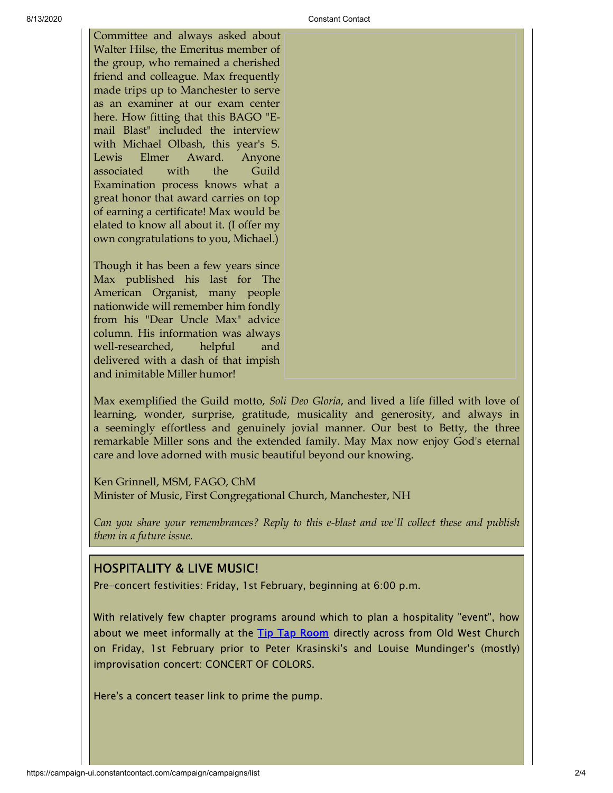Committee and always asked about Walter Hilse, the Emeritus member of the group, who remained a cherished friend and colleague. Max frequently made trips up to Manchester to serve as an examiner at our exam center here. How fitting that this BAGO "Email Blast" included the interview with Michael Olbash, this year's S. Lewis Elmer Award. Anyone associated with the Guild Examination process knows what a great honor that award carries on top of earning a certificate! Max would be elated to know all about it. (I offer my own congratulations to you, Michael.)

Though it has been a few years since Max published his last for The American Organist, many people nationwide will remember him fondly from his "Dear Uncle Max" advice column. His information was always well-researched, helpful and delivered with a dash of that impish and inimitable Miller humor!

Max exemplified the Guild motto, *Soli Deo Gloria*, and lived a life filled with love of learning, wonder, surprise, gratitude, musicality and generosity, and always in a seemingly effortless and genuinely jovial manner. Our best to Betty, the three remarkable Miller sons and the extended family. May Max now enjoy God's eternal care and love adorned with music beautiful beyond our knowing.

Ken Grinnell, MSM, FAGO, ChM Minister of Music, First Congregational Church, Manchester, NH

*Can you share your remembrances? Reply to this e-blast and we'll collect these and publish them in a future issue.*

## <span id="page-1-0"></span>HOSPITALITY & LIVE MUSIC!

Pre-concert festivities: Friday, 1st February, beginning at 6:00 p.m.

With relatively few chapter programs around which to plan a hospitality "event", how about we meet informally at the Tip Tap [Room](http://thetiptaproom.com/) directly across from Old West Church on Friday, 1st February prior to Peter Krasinski's and Louise Mundinger's (mostly) improvisation concert: CONCERT OF COLORS.

Here's a concert teaser link to prime the pump.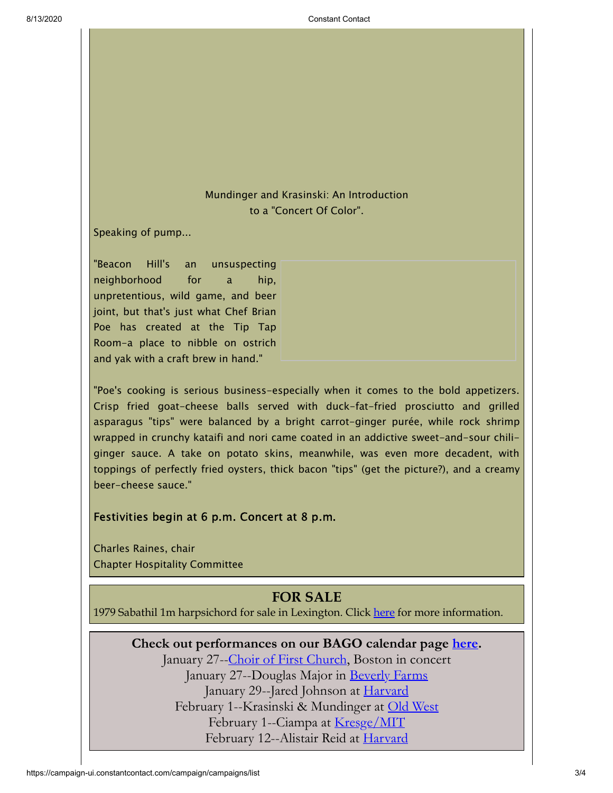## Mundinger and Krasinski: An Introduction to a "Concert Of Color".

Speaking of pump...

"Beacon Hill's an unsuspecting neighborhood for a hip, unpretentious, wild game, and beer joint, but that's just what Chef Brian Poe has created at the Tip Tap Room-a place to nibble on ostrich and yak with a craft brew in hand."

"Poe's cooking is serious business-especially when it comes to the bold appetizers. Crisp fried goat-cheese balls served with duck-fat-fried prosciutto and grilled asparagus "tips" were balanced by a bright carrot-ginger purée, while rock shrimp wrapped in crunchy kataifi and nori came coated in an addictive sweet-and-sour chiliginger sauce. A take on potato skins, meanwhile, was even more decadent, with toppings of perfectly fried oysters, thick bacon "tips" (get the picture?), and a creamy beer-cheese sauce."

Festivities begin at 6 p.m. Concert at 8 p.m.

Charles Raines, chair Chapter Hospitality Committee

## **FOR SALE**

<span id="page-2-1"></span><span id="page-2-0"></span>1979 Sabathil 1m harpsichord for sale in Lexington. Click [here](http://library.constantcontact.com/doc208/1105786651064/doc/lRSDsz4D8RNve06p.pdf) for more information.

**Check out performances on our BAGO calendar page [here.](http://www.bostonago.org/info/calendar/)**

January 27--Choir of First [Church](http://www.firstchurchbostonmusic.org/home.cfm), Boston in concert January 27--Douglas Major in <u>[Beverly](http://www.stjohnsbeverlyfarms.org/) Farms</u> January 29--Jared Johnson at [Harvard](http://memorialchurch.harvard.edu/music.php?cid=3&sid=71) February 1--Krasinski & Mundinger at Old [West](http://www.oldwestorgansociety.org/) February 1--Ciampa at <u>[Kresge/MIT](http://studentlife.mit.edu/organ-concerts)</u> February 12--Alistair Reid at [Harvard](http://memorialchurch.harvard.edu/music.php?cid=3&sid=71)